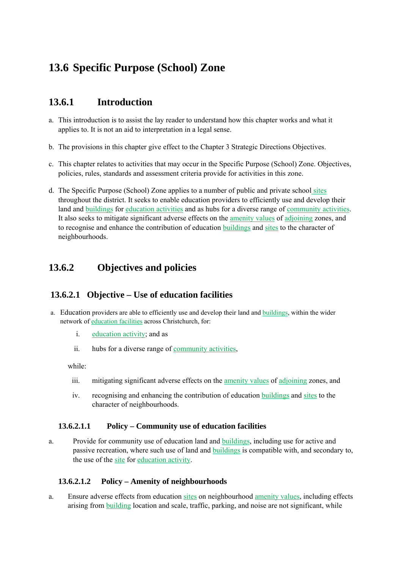# **13.6 Specific Purpose (School) Zone**

# **13.6.1 Introduction**

- a. This introduction is to assist the lay reader to understand how this chapter works and what it applies to. It is not an aid to interpretation in a legal sense.
- b. The provisions in this chapter give effect to the Chapter 3 Strategic Directions Objectives.
- c. This chapter relates to activities that may occur in the Specific Purpose (School) Zone. Objectives, policies, rules, standards and assessment criteria provide for activities in this zone.
- d. The Specific Purpose (School) Zone applies to a number of public and private school sites throughout the district. It seeks to enable education providers to efficiently use and develop their land and buildings for education activities and as hubs for a diverse range of community activities. It also seeks to mitigate significant adverse effects on the amenity values of adjoining zones, and to recognise and enhance the contribution of education buildings and sites to the character of neighbourhoods.

# **13.6.2 Objectives and policies**

### **13.6.2.1 Objective – Use of education facilities**

- a. Education providers are able to efficiently use and develop their land and buildings, within the wider network of education facilities across Christchurch, for:
	- i. education activity; and as
	- ii. hubs for a diverse range of community activities,

while:

- iii. mitigating significant adverse effects on the amenity values of adjoining zones, and
- iv. recognising and enhancing the contribution of education buildings and sites to the character of neighbourhoods.

#### **13.6.2.1.1 Policy – Community use of education facilities**

a. Provide for community use of education land and buildings, including use for active and passive recreation, where such use of land and buildings is compatible with, and secondary to, the use of the site for education activity.

#### **13.6.2.1.2 Policy – Amenity of neighbourhoods**

a. Ensure adverse effects from education sites on neighbourhood amenity values, including effects arising from building location and scale, traffic, parking, and noise are not significant, while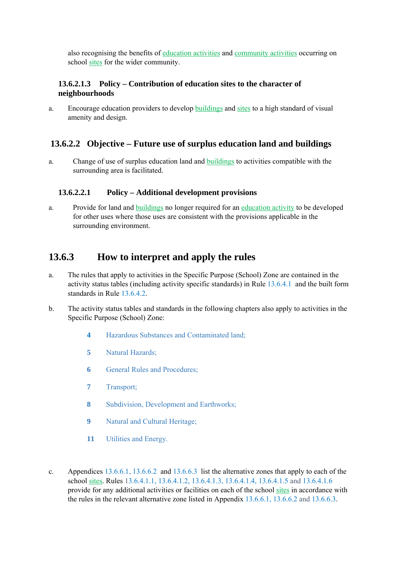also recognising the benefits of education activities and community activities occurring on school sites for the wider community.

#### **13.6.2.1.3 Policy – Contribution of education sites to the character of neighbourhoods**

a. Encourage education providers to develop buildings and sites to a high standard of visual amenity and design.

### **13.6.2.2 Objective – Future use of surplus education land and buildings**

a. Change of use of surplus education land and buildings to activities compatible with the surrounding area is facilitated.

#### **13.6.2.2.1 Policy – Additional development provisions**

a. Provide for land and buildings no longer required for an education activity to be developed for other uses where those uses are consistent with the provisions applicable in the surrounding environment.

### **13.6.3 How to interpret and apply the rules**

- a. The rules that apply to activities in the Specific Purpose (School) Zone are contained in the activity status tables (including activity specific standards) in Rule 13.6.4.1 and the built form standards in Rule 13.6.4.2.
- b. The activity status tables and standards in the following chapters also apply to activities in the Specific Purpose (School) Zone:
	- **4** Hazardous Substances and Contaminated land;
	- **5** Natural Hazards;
	- **6 General Rules and Procedures:**
	- **7** Transport;
	- **8** Subdivision, Development and Earthworks;
	- **9** Natural and Cultural Heritage;
	- **11** Utilities and Energy.
- c. Appendices 13.6.6.1, 13.6.6.2 and 13.6.6.3 list the alternative zones that apply to each of the school sites. Rules 13.6.4.1.1, 13.6.4.1.2, 13.6.4.1.3, 13.6.4.1.4, 13.6.4.1.5 and 13.6.4.1.6 provide for any additional activities or facilities on each of the school sites in accordance with the rules in the relevant alternative zone listed in Appendix 13.6.6.1, 13.6.6.2 and 13.6.6.3.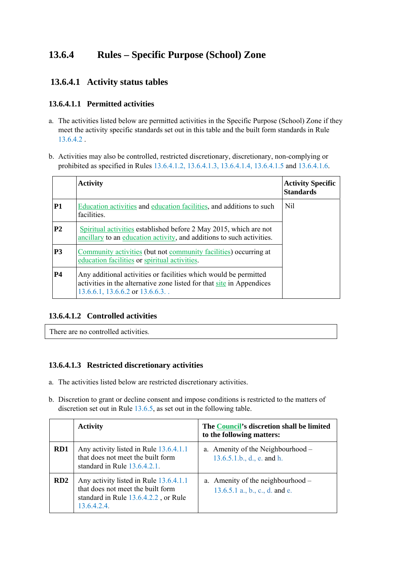# **13.6.4 Rules – Specific Purpose (School) Zone**

### **13.6.4.1 Activity status tables**

#### **13.6.4.1.1 Permitted activities**

- a. The activities listed below are permitted activities in the Specific Purpose (School) Zone if they meet the activity specific standards set out in this table and the built form standards in Rule 13.6.4.2 .
- b. Activities may also be controlled, restricted discretionary, discretionary, non-complying or prohibited as specified in Rules 13.6.4.1.2, 13.6.4.1.3, 13.6.4.1.4, 13.6.4.1.5 and 13.6.4.1.6.

|                | <b>Activity</b>                                                                                                                                                                      | <b>Activity Specific</b><br><b>Standards</b> |
|----------------|--------------------------------------------------------------------------------------------------------------------------------------------------------------------------------------|----------------------------------------------|
| P1             | Education activities and education facilities, and additions to such<br>facilities.                                                                                                  | Nil                                          |
| <b>P2</b>      | Spiritual activities established before 2 May 2015, which are not<br>ancillary to an education activity, and additions to such activities.                                           |                                              |
| P <sub>3</sub> | Community activities (but not community facilities) occurring at<br>education facilities or spiritual activities.                                                                    |                                              |
| <b>P4</b>      | Any additional activities or facilities which would be permitted<br>activities in the alternative zone listed for that site in Appendices<br>$13.6.6.1$ , $13.6.6.2$ or $13.6.6.3$ . |                                              |

#### **13.6.4.1.2 Controlled activities**

There are no controlled activities.

#### **13.6.4.1.3 Restricted discretionary activities**

- a. The activities listed below are restricted discretionary activities.
- b. Discretion to grant or decline consent and impose conditions is restricted to the matters of discretion set out in Rule 13.6.5, as set out in the following table.

|                 | <b>Activity</b>                                                                                                                    | The Council's discretion shall be limited<br>to the following matters: |
|-----------------|------------------------------------------------------------------------------------------------------------------------------------|------------------------------------------------------------------------|
| RD1             | Any activity listed in Rule 13.6.4.1.1<br>that does not meet the built form<br>standard in Rule 13.6.4.2.1.                        | a. Amenity of the Neighbourhood –<br>$13.6.5.1.b., d., e.$ and h.      |
| RD <sub>2</sub> | Any activity listed in Rule 13.6.4.1.1<br>that does not meet the built form<br>standard in Rule 13.6.4.2.2, or Rule<br>13.6.4.2.4. | a. Amenity of the neighbourhood –<br>$13.6.5.1$ a., b., c., d. and e.  |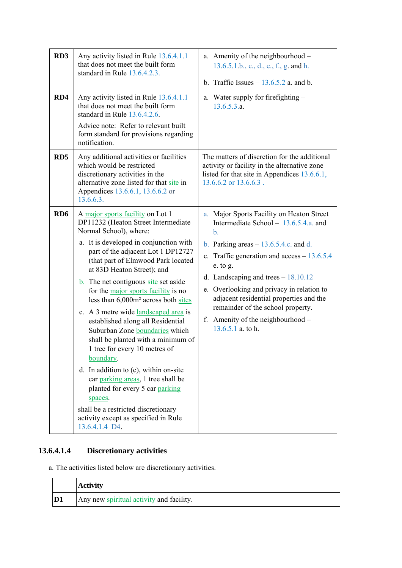| RD3<br>RD4      | Any activity listed in Rule 13.6.4.1.1<br>that does not meet the built form<br>standard in Rule 13.6.4.2.3.<br>Any activity listed in Rule 13.6.4.1.1                                                                                                                                                                                                                                                                                                                                                                                                                                                                                                                                                                                                                                                                                      | a. Amenity of the neighbourhood -<br>13.6.5.1.b., c., d., e., f., g. and h.<br>b. Traffic Issues $-13.6.5.2$ a. and b.<br>a. Water supply for firefighting -                                                                                                                                                                                                                                                                                   |
|-----------------|--------------------------------------------------------------------------------------------------------------------------------------------------------------------------------------------------------------------------------------------------------------------------------------------------------------------------------------------------------------------------------------------------------------------------------------------------------------------------------------------------------------------------------------------------------------------------------------------------------------------------------------------------------------------------------------------------------------------------------------------------------------------------------------------------------------------------------------------|------------------------------------------------------------------------------------------------------------------------------------------------------------------------------------------------------------------------------------------------------------------------------------------------------------------------------------------------------------------------------------------------------------------------------------------------|
|                 | that does not meet the built form<br>standard in Rule 13.6.4.2.6.<br>Advice note: Refer to relevant built<br>form standard for provisions regarding<br>notification.                                                                                                                                                                                                                                                                                                                                                                                                                                                                                                                                                                                                                                                                       | 13.6.5.3.a.                                                                                                                                                                                                                                                                                                                                                                                                                                    |
| RD5             | Any additional activities or facilities<br>which would be restricted<br>discretionary activities in the<br>alternative zone listed for that site in<br>Appendices 13.6.6.1, 13.6.6.2 or<br>13.6.6.3.                                                                                                                                                                                                                                                                                                                                                                                                                                                                                                                                                                                                                                       | The matters of discretion for the additional<br>activity or facility in the alternative zone<br>listed for that site in Appendices 13.6.6.1,<br>13.6.6.2 or 13.6.6.3.                                                                                                                                                                                                                                                                          |
| RD <sub>6</sub> | A <u>major sports facility</u> on Lot 1<br>DP11232 (Heaton Street Intermediate<br>Normal School), where:<br>a. It is developed in conjunction with<br>part of the adjacent Lot 1 DP12727<br>(that part of Elmwood Park located<br>at 83D Heaton Street); and<br><b>b</b> . The net contiguous site set aside<br>for the major sports facility is no<br>less than 6,000m <sup>2</sup> across both sites<br>c. A 3 metre wide landscaped area is<br>established along all Residential<br>Suburban Zone boundaries which<br>shall be planted with a minimum of<br>1 tree for every 10 metres of<br>boundary.<br>d. In addition to $(c)$ , within on-site<br>car parking areas, 1 tree shall be<br>planted for every 5 car parking<br>spaces.<br>shall be a restricted discretionary<br>activity except as specified in Rule<br>13.6.4.1.4 D4. | a. Major Sports Facility on Heaton Street<br>Intermediate School - 13.6.5.4.a. and<br>$\mathbf{b}$ .<br>b. Parking areas $-13.6.5.4.c.$ and d.<br>c. Traffic generation and $access - 13.6.5.4$<br>e. to g.<br>d. Landscaping and trees $-18.10.12$<br>e. Overlooking and privacy in relation to<br>adjacent residential properties and the<br>remainder of the school property.<br>f. Amenity of the neighbourhood $-$<br>$13.6.5.1$ a. to h. |

# **13.6.4.1.4 Discretionary activities**

a. The activities listed below are discretionary activities.

|                | <b>Activity</b>                          |
|----------------|------------------------------------------|
| D <sub>1</sub> | Any new spiritual activity and facility. |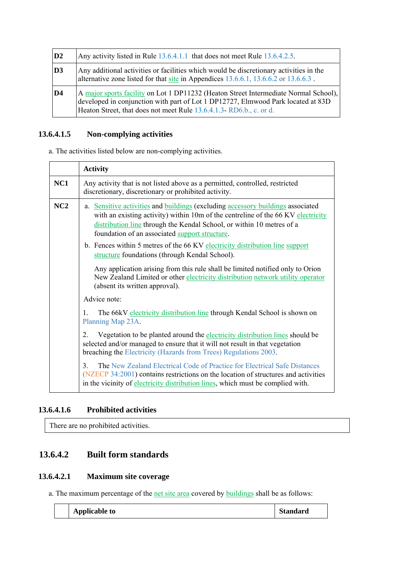| D2             | Any activity listed in Rule 13.6.4.1.1 that does not meet Rule 13.6.4.2.5.                                                                                                                                                                     |
|----------------|------------------------------------------------------------------------------------------------------------------------------------------------------------------------------------------------------------------------------------------------|
| D <sub>3</sub> | Any additional activities or facilities which would be discretionary activities in the<br>alternative zone listed for that site in Appendices $13.6.6.1$ , $13.6.6.2$ or $13.6.6.3$ .                                                          |
| D <sub>4</sub> | A major sports facility on Lot 1 DP11232 (Heaton Street Intermediate Normal School),<br>developed in conjunction with part of Lot 1 DP12727, Elmwood Park located at 83D<br>Heaton Street, that does not meet Rule 13.6.4.1.3-RD6.b., c. or d. |

# **13.6.4.1.5 Non-complying activities**

a. The activities listed below are non-complying activities.

|     | <b>Activity</b>                                                                                                                                                                                                                                                                                |
|-----|------------------------------------------------------------------------------------------------------------------------------------------------------------------------------------------------------------------------------------------------------------------------------------------------|
| NC1 | Any activity that is not listed above as a permitted, controlled, restricted<br>discretionary, discretionary or prohibited activity.                                                                                                                                                           |
| NC2 | a. Sensitive activities and buildings (excluding accessory buildings associated<br>with an existing activity) within 10m of the centreline of the 66 KV electricity<br>distribution line through the Kendal School, or within 10 metres of a<br>foundation of an associated support structure. |
|     | b. Fences within 5 metres of the 66 KV electricity distribution line support<br>structure foundations (through Kendal School).                                                                                                                                                                 |
|     | Any application arising from this rule shall be limited notified only to Orion<br>New Zealand Limited or other electricity distribution network utility operator<br>(absent its written approval).                                                                                             |
|     | Advice note:                                                                                                                                                                                                                                                                                   |
|     | The 66kV electricity distribution line through Kendal School is shown on<br>$\mathbf{1}$ .<br>Planning Map 23A.                                                                                                                                                                                |
|     | Vegetation to be planted around the electricity distribution lines should be<br>2.<br>selected and/or managed to ensure that it will not result in that vegetation<br>breaching the Electricity (Hazards from Trees) Regulations 2003.                                                         |
|     | The New Zealand Electrical Code of Practice for Electrical Safe Distances<br>$\mathcal{E}$<br>(NZECP 34:2001) contains restrictions on the location of structures and activities<br>in the vicinity of electricity distribution lines, which must be complied with.                            |

#### **13.6.4.1.6 Prohibited activities**

There are no prohibited activities.

# **13.6.4.2 Built form standards**

### **13.6.4.2.1 Maximum site coverage**

a. The maximum percentage of the net site area covered by buildings shall be as follows:

| <b>Applicable to</b> | <b>Standard</b> |
|----------------------|-----------------|
|----------------------|-----------------|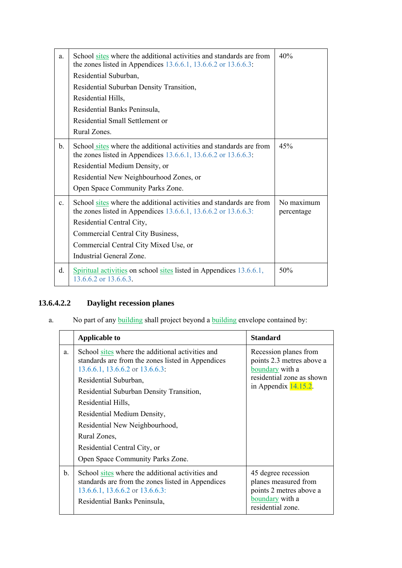| a.             | School sites where the additional activities and standards are from<br>the zones listed in Appendices $13.6.6.1$ , $13.6.6.2$ or $13.6.6.3$ :<br>Residential Suburban, | 40%                      |
|----------------|------------------------------------------------------------------------------------------------------------------------------------------------------------------------|--------------------------|
|                | Residential Suburban Density Transition,                                                                                                                               |                          |
|                | Residential Hills,                                                                                                                                                     |                          |
|                | Residential Banks Peninsula,                                                                                                                                           |                          |
|                | Residential Small Settlement or                                                                                                                                        |                          |
|                | Rural Zones.                                                                                                                                                           |                          |
| $\mathbf{b}$ . | School sites where the additional activities and standards are from<br>the zones listed in Appendices $13.6.6.1$ , $13.6.6.2$ or $13.6.6.3$ :                          | 45%                      |
|                | Residential Medium Density, or                                                                                                                                         |                          |
|                | Residential New Neighbourhood Zones, or                                                                                                                                |                          |
|                | Open Space Community Parks Zone.                                                                                                                                       |                          |
| $\mathbf{c}$ . | School sites where the additional activities and standards are from<br>the zones listed in Appendices $13.6.6.1$ , $13.6.6.2$ or $13.6.6.3$ :                          | No maximum<br>percentage |
|                | Residential Central City,                                                                                                                                              |                          |
|                | Commercial Central City Business,                                                                                                                                      |                          |
|                | Commercial Central City Mixed Use, or                                                                                                                                  |                          |
|                | Industrial General Zone.                                                                                                                                               |                          |
| d.             | Spiritual activities on school sites listed in Appendices 13.6.6.1,<br>13.6.6.2 or 13.6.6.3.                                                                           | 50%                      |

# **13.6.4.2.2 Daylight recession planes**

a. No part of any **building** shall project beyond a **building** envelope contained by:

|    | <b>Applicable to</b>                                                                                                                                                     | <b>Standard</b>                                                                                                |
|----|--------------------------------------------------------------------------------------------------------------------------------------------------------------------------|----------------------------------------------------------------------------------------------------------------|
| a. | School sites where the additional activities and<br>standards are from the zones listed in Appendices<br>$13.6.6.1$ , $13.6.6.2$ or $13.6.6.3$ .                         | Recession planes from<br>points 2.3 metres above a<br>boundary with a                                          |
|    | Residential Suburban,                                                                                                                                                    | residential zone as shown<br>in Appendix $14.15.2$ .                                                           |
|    | Residential Suburban Density Transition,                                                                                                                                 |                                                                                                                |
|    | Residential Hills,                                                                                                                                                       |                                                                                                                |
|    | Residential Medium Density,                                                                                                                                              |                                                                                                                |
|    | Residential New Neighbourhood,                                                                                                                                           |                                                                                                                |
|    | Rural Zones,                                                                                                                                                             |                                                                                                                |
|    | Residential Central City, or                                                                                                                                             |                                                                                                                |
|    | Open Space Community Parks Zone.                                                                                                                                         |                                                                                                                |
| b. | School sites where the additional activities and<br>standards are from the zones listed in Appendices<br>13.6.6.1, 13.6.6.2 or 13.6.6.3:<br>Residential Banks Peninsula, | 45 degree recession<br>planes measured from<br>points 2 metres above a<br>boundary with a<br>residential zone. |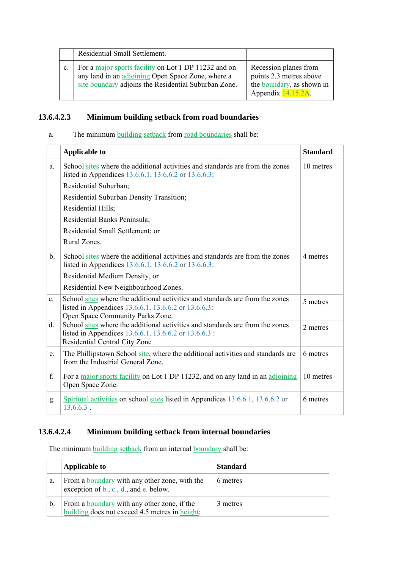|                | Residential Small Settlement.                                                                                                                                     |                                                                                                                   |
|----------------|-------------------------------------------------------------------------------------------------------------------------------------------------------------------|-------------------------------------------------------------------------------------------------------------------|
| $\mathbf{c}$ . | For a major sports facility on Lot 1 DP 11232 and on<br>any land in an adjoining Open Space Zone, where a<br>site boundary adjoins the Residential Suburban Zone. | Recession planes from<br>points 2.3 metres above<br>the boundary, as shown in<br>Appendix $\overline{14.15.2A}$ . |

### **13.6.4.2.3 Minimum building setback from road boundaries**

a. The minimum building setback from road boundaries shall be:

|                | <b>Applicable to</b>                                                                                                                                                      | <b>Standard</b> |
|----------------|---------------------------------------------------------------------------------------------------------------------------------------------------------------------------|-----------------|
| a.             | School sites where the additional activities and standards are from the zones<br>listed in Appendices 13.6.6.1, 13.6.6.2 or 13.6.6.3:                                     | 10 metres       |
|                | Residential Suburban;                                                                                                                                                     |                 |
|                | Residential Suburban Density Transition;                                                                                                                                  |                 |
|                | Residential Hills;                                                                                                                                                        |                 |
|                | Residential Banks Peninsula;                                                                                                                                              |                 |
|                | Residential Small Settlement; or                                                                                                                                          |                 |
|                | Rural Zones.                                                                                                                                                              |                 |
| $\mathbf{b}$ . | School sites where the additional activities and standards are from the zones<br>listed in Appendices 13.6.6.1, 13.6.6.2 or 13.6.6.3:                                     | 4 metres        |
|                | Residential Medium Density, or                                                                                                                                            |                 |
|                | Residential New Neighbourhood Zones.                                                                                                                                      |                 |
| $\mathbf{c}$ . | School sites where the additional activities and standards are from the zones<br>listed in Appendices 13.6.6.1, 13.6.6.2 or 13.6.6.3:<br>Open Space Community Parks Zone. | 5 metres        |
| d.             | School sites where the additional activities and standards are from the zones<br>listed in Appendices 13.6.6.1, 13.6.6.2 or 13.6.6.3 :<br>Residential Central City Zone   | 2 metres        |
| e.             | The Phillipstown School site, where the additional activities and standards are<br>from the Industrial General Zone.                                                      | 6 metres        |
| f.             | For a major sports facility on Lot 1 DP 11232, and on any land in an adjoining<br>Open Space Zone.                                                                        | 10 metres       |
| g.             | Spiritual activities on school sites listed in Appendices 13.6.6.1, 13.6.6.2 or<br>$13.6.6.3$ .                                                                           | 6 metres        |

### **13.6.4.2.4 Minimum building setback from internal boundaries**

The minimum building setback from an internal boundary shall be:

|    | <b>Applicable to</b>                                                                                 | <b>Standard</b> |
|----|------------------------------------------------------------------------------------------------------|-----------------|
| a. | From a boundary with any other zone, with the<br>exception of $b_1$ , c., d., and e. below.          | 6 metres        |
| b. | From a <b>boundary</b> with any other zone, if the<br>building does not exceed 4.5 metres in height; | 3 metres        |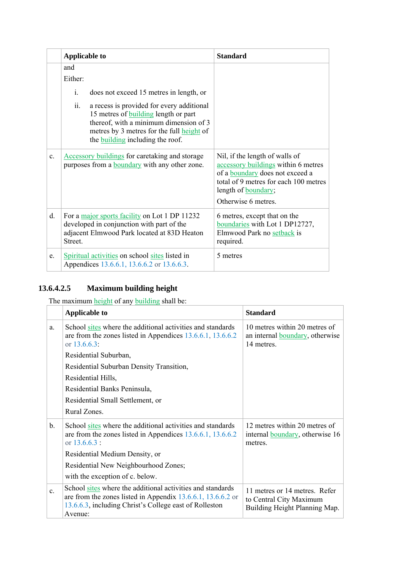|                | <b>Applicable to</b>                                                                                                                                                                                                              | <b>Standard</b>                                                                                                                                                                                        |  |
|----------------|-----------------------------------------------------------------------------------------------------------------------------------------------------------------------------------------------------------------------------------|--------------------------------------------------------------------------------------------------------------------------------------------------------------------------------------------------------|--|
|                | and<br>Either:                                                                                                                                                                                                                    |                                                                                                                                                                                                        |  |
|                | $\mathbf{i}$ .<br>does not exceed 15 metres in length, or                                                                                                                                                                         |                                                                                                                                                                                                        |  |
|                | ii.<br>a recess is provided for every additional<br>15 metres of <b>building</b> length or part<br>thereof, with a minimum dimension of 3<br>metres by 3 metres for the full height of<br>the <b>building</b> including the roof. |                                                                                                                                                                                                        |  |
| $\mathbf{c}$ . | <b>Accessory buildings</b> for caretaking and storage<br>purposes from a <b>boundary</b> with any other zone.                                                                                                                     | Nil, if the length of walls of<br>accessory buildings within 6 metres<br>of a boundary does not exceed a<br>total of 9 metres for each 100 metres<br>length of <b>boundary</b> ;<br>Otherwise 6 metres |  |
| d.             | For a major sports facility on Lot 1 DP 11232<br>developed in conjunction with part of the<br>adjacent Elmwood Park located at 83D Heaton<br>Street.                                                                              | 6 metres, except that on the<br>boundaries with Lot 1 DP12727,<br>Elmwood Park no setback is<br>required.                                                                                              |  |
| e.             | Spiritual activities on school sites listed in<br>Appendices 13.6.6.1, 13.6.6.2 or 13.6.6.3.                                                                                                                                      | 5 metres                                                                                                                                                                                               |  |

# **13.6.4.2.5 Maximum building height**

The maximum height of any building shall be:

|                | <b>Applicable to</b>                                                                                                                                                                                | <b>Standard</b>                                                                          |  |
|----------------|-----------------------------------------------------------------------------------------------------------------------------------------------------------------------------------------------------|------------------------------------------------------------------------------------------|--|
| a.             | School sites where the additional activities and standards<br>are from the zones listed in Appendices $13.6.6.1$ , $13.6.6.2$<br>or $13.6.6.3$ :                                                    | 10 metres within 20 metres of<br>an internal <b>boundary</b> , otherwise<br>14 metres.   |  |
|                | Residential Suburban,                                                                                                                                                                               |                                                                                          |  |
|                | Residential Suburban Density Transition,                                                                                                                                                            |                                                                                          |  |
|                | Residential Hills,                                                                                                                                                                                  |                                                                                          |  |
|                | Residential Banks Peninsula,                                                                                                                                                                        |                                                                                          |  |
|                | Residential Small Settlement, or                                                                                                                                                                    |                                                                                          |  |
|                | Rural Zones.                                                                                                                                                                                        |                                                                                          |  |
| b.             | School sites where the additional activities and standards<br>are from the zones listed in Appendices 13.6.6.1, 13.6.6.2<br>or $13.6.6.3$ :                                                         | 12 metres within 20 metres of<br>internal <b>boundary</b> , otherwise 16<br>metres.      |  |
|                | Residential Medium Density, or                                                                                                                                                                      |                                                                                          |  |
|                | Residential New Neighbourhood Zones;                                                                                                                                                                |                                                                                          |  |
|                | with the exception of c. below.                                                                                                                                                                     |                                                                                          |  |
| $\mathbf{c}$ . | School sites where the additional activities and standards<br>are from the zones listed in Appendix $13.6.6.1$ , $13.6.6.2$ or<br>13.6.6.3, including Christ's College east of Rolleston<br>Avenue: | 11 metres or 14 metres Refer<br>to Central City Maximum<br>Building Height Planning Map. |  |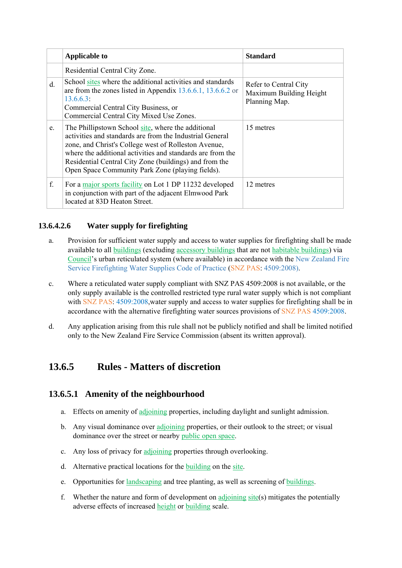|             | <b>Applicable to</b>                                                                                                                                                                                                                                                                                                                               | <b>Standard</b>                                                   |
|-------------|----------------------------------------------------------------------------------------------------------------------------------------------------------------------------------------------------------------------------------------------------------------------------------------------------------------------------------------------------|-------------------------------------------------------------------|
|             | Residential Central City Zone.                                                                                                                                                                                                                                                                                                                     |                                                                   |
| $d_{\cdot}$ | School sites where the additional activities and standards<br>are from the zones listed in Appendix 13.6.6.1, 13.6.6.2 or<br>13.6.6.3:<br>Commercial Central City Business, or<br>Commercial Central City Mixed Use Zones.                                                                                                                         | Refer to Central City<br>Maximum Building Height<br>Planning Map. |
| e.          | The Phillipstown School site, where the additional<br>activities and standards are from the Industrial General<br>zone, and Christ's College west of Rolleston Avenue,<br>where the additional activities and standards are from the<br>Residential Central City Zone (buildings) and from the<br>Open Space Community Park Zone (playing fields). | 15 metres                                                         |
| f.          | For a major sports facility on Lot 1 DP 11232 developed<br>in conjunction with part of the adjacent Elmwood Park<br>located at 83D Heaton Street.                                                                                                                                                                                                  | 12 metres                                                         |

### **13.6.4.2.6 Water supply for firefighting**

- a. Provision for sufficient water supply and access to water supplies for firefighting shall be made available to all buildings (excluding accessory buildings that are not habitable buildings) via Council's urban reticulated system (where available) in accordance with the New Zealand Fire Service Firefighting Water Supplies Code of Practice (SNZ PAS: 4509:2008).
- c. Where a reticulated water supply compliant with SNZ PAS 4509:2008 is not available, or the only supply available is the controlled restricted type rural water supply which is not compliant with SNZ PAS:  $4509:2008$ , water supply and access to water supplies for firefighting shall be in accordance with the alternative firefighting water sources provisions of SNZ PAS 4509:2008.
- d. Any application arising from this rule shall not be publicly notified and shall be limited notified only to the New Zealand Fire Service Commission (absent its written approval).

# **13.6.5 Rules - Matters of discretion**

### **13.6.5.1 Amenity of the neighbourhood**

- a. Effects on amenity of adjoining properties, including daylight and sunlight admission.
- b. Any visual dominance over adjoining properties, or their outlook to the street; or visual dominance over the street or nearby public open space.
- c. Any loss of privacy for adjoining properties through overlooking.
- d. Alternative practical locations for the building on the site.
- e. Opportunities for landscaping and tree planting, as well as screening of buildings.
- f. Whether the nature and form of development on adjoining site(s) mitigates the potentially adverse effects of increased height or building scale.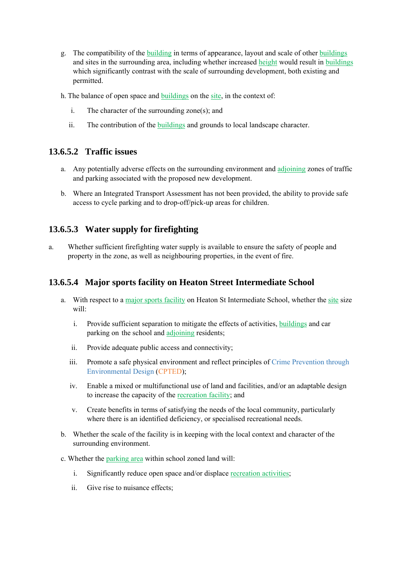- g. The compatibility of the building in terms of appearance, layout and scale of other buildings and sites in the surrounding area, including whether increased height would result in buildings which significantly contrast with the scale of surrounding development, both existing and permitted.
- h. The balance of open space and buildings on the site, in the context of:
	- i. The character of the surrounding zone(s); and
	- ii. The contribution of the buildings and grounds to local landscape character.

#### **13.6.5.2 Traffic issues**

- a. Any potentially adverse effects on the surrounding environment and adjoining zones of traffic and parking associated with the proposed new development.
- b. Where an Integrated Transport Assessment has not been provided, the ability to provide safe access to cycle parking and to drop-off/pick-up areas for children.

### **13.6.5.3 Water supply for firefighting**

a. Whether sufficient firefighting water supply is available to ensure the safety of people and property in the zone, as well as neighbouring properties, in the event of fire.

#### **13.6.5.4 Major sports facility on Heaton Street Intermediate School**

- a. With respect to a major sports facility on Heaton St Intermediate School, whether the site size will:
	- i. Provide sufficient separation to mitigate the effects of activities, buildings and car parking on the school and adjoining residents;
	- ii. Provide adequate public access and connectivity;
	- iii. Promote a safe physical environment and reflect principles of Crime Prevention through Environmental Design (CPTED);
	- iv. Enable a mixed or multifunctional use of land and facilities, and/or an adaptable design to increase the capacity of the recreation facility; and
	- v. Create benefits in terms of satisfying the needs of the local community, particularly where there is an identified deficiency, or specialised recreational needs.
- b. Whether the scale of the facility is in keeping with the local context and character of the surrounding environment.
- c. Whether the parking area within school zoned land will:
	- i. Significantly reduce open space and/or displace recreation activities;
	- ii. Give rise to nuisance effects;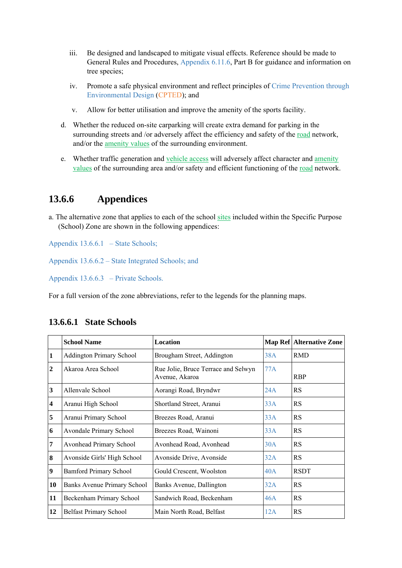- iii. Be designed and landscaped to mitigate visual effects. Reference should be made to General Rules and Procedures, Appendix 6.11.6, Part B for guidance and information on tree species;
- iv. Promote a safe physical environment and reflect principles of Crime Prevention through Environmental Design (CPTED); and
- v. Allow for better utilisation and improve the amenity of the sports facility.
- d. Whether the reduced on-site carparking will create extra demand for parking in the surrounding streets and /or adversely affect the efficiency and safety of the road network, and/or the amenity values of the surrounding environment.
- e. Whether traffic generation and vehicle access will adversely affect character and amenity values of the surrounding area and/or safety and efficient functioning of the road network.

# **13.6.6 Appendices**

a. The alternative zone that applies to each of the school sites included within the Specific Purpose (School) Zone are shown in the following appendices:

Appendix 13.6.6.1 – State Schools;

Appendix 13.6.6.2 – State Integrated Schools; and

Appendix 13.6.6.3 – Private Schools.

For a full version of the zone abbreviations, refer to the legends for the planning maps.

|                         | <b>School Name</b>              | <b>Location</b>                                       |     | <b>Map Ref Alternative Zone</b> |
|-------------------------|---------------------------------|-------------------------------------------------------|-----|---------------------------------|
| 1                       | <b>Addington Primary School</b> | Brougham Street, Addington                            | 38A | <b>RMD</b>                      |
| $\boldsymbol{2}$        | Akaroa Area School              | Rue Jolie, Bruce Terrace and Selwyn<br>Avenue, Akaroa | 77A | <b>RBP</b>                      |
| 3                       | Allenvale School                | Aorangi Road, Bryndwr                                 | 24A | <b>RS</b>                       |
| $\overline{\mathbf{4}}$ | Aranui High School              | Shortland Street, Aranui                              | 33A | <b>RS</b>                       |
| 5                       | Aranui Primary School           | Breezes Road, Aranui                                  | 33A | <b>RS</b>                       |
| 6                       | <b>Avondale Primary School</b>  | Breezes Road, Wainoni                                 | 33A | RS                              |
| 7                       | Avonhead Primary School         | Avonhead Road, Avonhead                               | 30A | <b>RS</b>                       |
| 8                       | Avonside Girls' High School     | Avonside Drive, Avonside                              | 32A | <b>RS</b>                       |
| $\boldsymbol{9}$        | <b>Bamford Primary School</b>   | Gould Crescent, Woolston                              | 40A | <b>RSDT</b>                     |
| 10                      | Banks Avenue Primary School     | Banks Avenue, Dallington                              | 32A | <b>RS</b>                       |
| 11                      | Beckenham Primary School        | Sandwich Road, Beckenham                              | 46A | <b>RS</b>                       |
| 12                      | <b>Belfast Primary School</b>   | Main North Road, Belfast                              | 12A | <b>RS</b>                       |

#### **13.6.6.1 State Schools**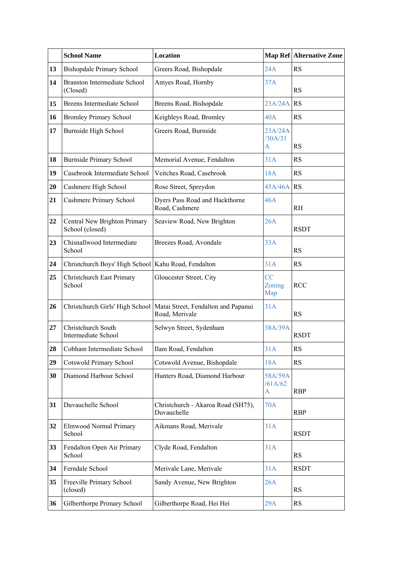|           | <b>School Name</b>                                    | Location                                                                                |                                    | Map Ref Alternative Zone |
|-----------|-------------------------------------------------------|-----------------------------------------------------------------------------------------|------------------------------------|--------------------------|
| 13        | <b>Bishopdale Primary School</b>                      | Greers Road, Bishopdale                                                                 | 24A                                | <b>RS</b>                |
| 14        | <b>Branston Intermediate School</b><br>(Closed)       | Amyes Road, Hornby                                                                      | 37A                                | <b>RS</b>                |
| 15        | <b>Breens Intermediate School</b>                     | Breens Road, Bishopdale                                                                 | 23A/24A                            | RS                       |
| 16        | <b>Bromley Primary School</b>                         | Keighleys Road, Bromley                                                                 | 40A                                | RS                       |
| 17        | Burnside High School                                  | Greers Road, Burnside                                                                   | 23A/24A<br>/30A/31<br>A            | <b>RS</b>                |
| 18        | <b>Burnside Primary School</b>                        | Memorial Avenue, Fendalton                                                              | 31A                                | RS                       |
| 19        | Casebrook Intermediate School                         | Veitches Road, Casebrook                                                                | 18A                                | RS                       |
| <b>20</b> | Cashmere High School                                  | Rose Street, Spreydon                                                                   | 45A/46A RS                         |                          |
| 21        | Cashmere Primary School                               | Dyers Pass Road and Hackthorne<br>Road, Cashmere                                        | 46A                                | <b>RH</b>                |
| 22        | Central New Brighton Primary<br>School (closed)       | Seaview Road, New Brighton                                                              | 26A                                | <b>RSDT</b>              |
| 23        | Chisnallwood Intermediate<br>School                   | Breezes Road, Avondale                                                                  | 33A                                | RS                       |
| 24        | Christchurch Boys' High School   Kahu Road, Fendalton |                                                                                         | 31A                                | RS                       |
| 25        | Christchurch East Primary<br>School                   | Gloucester Street, City                                                                 | CC<br>Zoning<br>Map                | <b>RCC</b>               |
| 26        |                                                       | Christchurch Girls' High School   Matai Street, Fendalton and Papanui<br>Road, Merivale | 31A                                | <b>RS</b>                |
| 27        | Christchurch South<br><b>Intermediate School</b>      | Selwyn Street, Sydenham                                                                 | 38A/39A                            | <b>RSDT</b>              |
| 28        | Cobham Intermediate School                            | Ilam Road, Fendalton                                                                    | 31A                                | <b>RS</b>                |
| 29        | <b>Cotswold Primary School</b>                        | Cotswold Avenue, Bishopdale                                                             | 18A                                | <b>RS</b>                |
| 30        | Diamond Harbour School                                | Hunters Road, Diamond Harbour                                                           | 58A/59A<br>/61A/62<br>$\mathbf{A}$ | <b>RBP</b>               |
| 31        | Duvauchelle School                                    | Christchurch - Akaroa Road (SH75),<br>Duvauchelle                                       | 70A                                | <b>RBP</b>               |
| 32        | Elmwood Normal Primary<br>School                      | Aikmans Road, Merivale                                                                  | 31A                                | <b>RSDT</b>              |
| 33        | Fendalton Open Air Primary<br>School                  | Clyde Road, Fendalton                                                                   | 31A                                | RS                       |
| 34        | Ferndale School                                       | Merivale Lane, Merivale                                                                 | 31A                                | <b>RSDT</b>              |
| 35        | Freeville Primary School<br>(closed)                  | Sandy Avenue, New Brighton                                                              | 26A                                | <b>RS</b>                |
| 36        | Gilberthorpe Primary School                           | Gilberthorpe Road, Hei Hei                                                              | 29A                                | RS                       |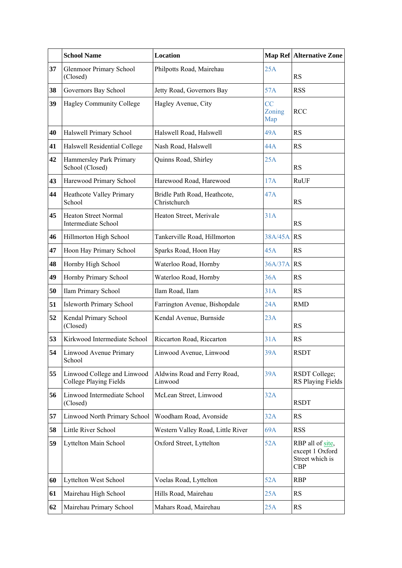|    | <b>School Name</b>                                    | <b>Location</b>                              |                     | <b>Map Ref Alternative Zone</b>                                      |
|----|-------------------------------------------------------|----------------------------------------------|---------------------|----------------------------------------------------------------------|
| 37 | <b>Glenmoor Primary School</b><br>(Closed)            | Philpotts Road, Mairehau                     | 25A                 | <b>RS</b>                                                            |
| 38 | Governors Bay School                                  | Jetty Road, Governors Bay                    | 57A                 | <b>RSS</b>                                                           |
| 39 | <b>Hagley Community College</b>                       | Hagley Avenue, City                          | CC<br>Zoning<br>Map | <b>RCC</b>                                                           |
| 40 | Halswell Primary School                               | Halswell Road, Halswell                      | 49A                 | RS                                                                   |
| 41 | Halswell Residential College                          | Nash Road, Halswell                          | 44A                 | RS                                                                   |
| 42 | Hammersley Park Primary<br>School (Closed)            | Quinns Road, Shirley                         | 25A                 | <b>RS</b>                                                            |
| 43 | Harewood Primary School                               | Harewood Road, Harewood                      | 17A                 | RuUF                                                                 |
| 44 | Heathcote Valley Primary<br>School                    | Bridle Path Road, Heathcote,<br>Christchurch | 47A                 | RS                                                                   |
| 45 | <b>Heaton Street Normal</b><br>Intermediate School    | Heaton Street, Merivale                      | 31A                 | RS                                                                   |
| 46 | Hillmorton High School                                | Tankerville Road, Hillmorton                 | 38A/45A RS          |                                                                      |
| 47 | Hoon Hay Primary School                               | Sparks Road, Hoon Hay                        | 45A                 | <b>RS</b>                                                            |
| 48 | Hornby High School                                    | Waterloo Road, Hornby                        | 36A/37A RS          |                                                                      |
| 49 | Hornby Primary School                                 | Waterloo Road, Hornby                        | 36A                 | RS                                                                   |
| 50 | Ilam Primary School                                   | Ilam Road, Ilam                              | 31A                 | RS                                                                   |
| 51 | <b>Isleworth Primary School</b>                       | Farrington Avenue, Bishopdale                | 24A                 | <b>RMD</b>                                                           |
| 52 | Kendal Primary School<br>(Closed)                     | Kendal Avenue, Burnside                      | 23A                 | RS                                                                   |
| 53 | Kirkwood Intermediate School                          | Riccarton Road, Riccarton                    | 31A                 | <b>RS</b>                                                            |
| 54 | Linwood Avenue Primary<br>School                      | Linwood Avenue, Linwood                      | 39A                 | <b>RSDT</b>                                                          |
| 55 | Linwood College and Linwood<br>College Playing Fields | Aldwins Road and Ferry Road,<br>Linwood      | 39A                 | RSDT College;<br><b>RS Playing Fields</b>                            |
| 56 | Linwood Intermediate School<br>(Closed)               | McLean Street, Linwood                       | 32A                 | <b>RSDT</b>                                                          |
| 57 | Linwood North Primary School                          | Woodham Road, Avonside                       | 32A                 | <b>RS</b>                                                            |
| 58 | Little River School                                   | Western Valley Road, Little River            | 69A                 | <b>RSS</b>                                                           |
| 59 | Lyttelton Main School                                 | Oxford Street, Lyttelton                     | 52A                 | RBP all of site,<br>except 1 Oxford<br>Street which is<br><b>CBP</b> |
| 60 | Lyttelton West School                                 | Voelas Road, Lyttelton                       | 52A                 | <b>RBP</b>                                                           |
| 61 | Mairehau High School                                  | Hills Road, Mairehau                         | 25A                 | RS                                                                   |
| 62 | Mairehau Primary School                               | Mahars Road, Mairehau                        | 25A                 | <b>RS</b>                                                            |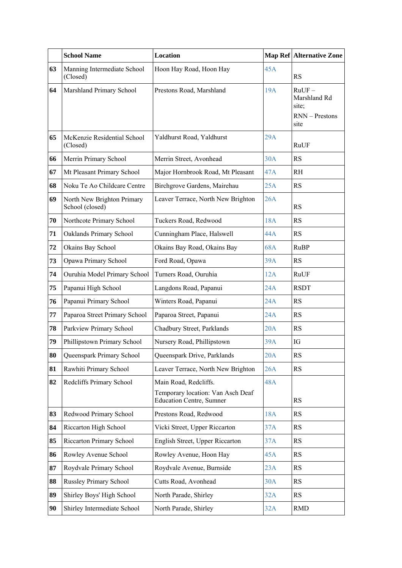|    | <b>School Name</b>                            | <b>Location</b>                                                                               |            | Map Ref Alternative Zone                                    |
|----|-----------------------------------------------|-----------------------------------------------------------------------------------------------|------------|-------------------------------------------------------------|
| 63 | Manning Intermediate School<br>(Closed)       | Hoon Hay Road, Hoon Hay                                                                       | 45A        | RS                                                          |
| 64 | Marshland Primary School                      | Prestons Road, Marshland                                                                      | 19A        | $RuUF -$<br>Marshland Rd<br>site;<br>RNN - Prestons<br>site |
| 65 | McKenzie Residential School<br>(Closed)       | Yaldhurst Road, Yaldhurst                                                                     | 29A        | RuUF                                                        |
| 66 | Merrin Primary School                         | Merrin Street, Avonhead                                                                       | 30A        | <b>RS</b>                                                   |
| 67 | Mt Pleasant Primary School                    | Major Hornbrook Road, Mt Pleasant                                                             | 47A        | R <sub>H</sub>                                              |
| 68 | Noku Te Ao Childcare Centre                   | Birchgrove Gardens, Mairehau                                                                  | 25A        | RS                                                          |
| 69 | North New Brighton Primary<br>School (closed) | Leaver Terrace, North New Brighton                                                            | 26A        | <b>RS</b>                                                   |
| 70 | Northcote Primary School                      | Tuckers Road, Redwood                                                                         | 18A        | <b>RS</b>                                                   |
| 71 | Oaklands Primary School                       | Cunningham Place, Halswell                                                                    | 44A        | RS                                                          |
| 72 | Okains Bay School                             | Okains Bay Road, Okains Bay                                                                   | 68A        | <b>RuBP</b>                                                 |
| 73 | Opawa Primary School                          | Ford Road, Opawa                                                                              | 39A        | RS                                                          |
| 74 | Ouruhia Model Primary School                  | Turners Road, Ouruhia                                                                         | 12A        | RuUF                                                        |
| 75 | Papanui High School                           | Langdons Road, Papanui                                                                        | 24A        | <b>RSDT</b>                                                 |
| 76 | Papanui Primary School                        | Winters Road, Papanui                                                                         | 24A        | <b>RS</b>                                                   |
| 77 | Paparoa Street Primary School                 | Paparoa Street, Papanui                                                                       | 24A        | RS                                                          |
| 78 | Parkview Primary School                       | Chadbury Street, Parklands                                                                    | 20A        | <b>RS</b>                                                   |
| 79 | Phillipstown Primary School                   | Nursery Road, Phillipstown                                                                    | 39A        | IG                                                          |
| 80 | Queenspark Primary School                     | Queenspark Drive, Parklands                                                                   | 20A        | RS                                                          |
| 81 | Rawhiti Primary School                        | Leaver Terrace, North New Brighton                                                            | 26A        | RS                                                          |
| 82 | Redcliffs Primary School                      | Main Road, Redcliffs.<br>Temporary location: Van Asch Deaf<br><b>Education Centre, Sumner</b> | <b>48A</b> | RS                                                          |
| 83 | Redwood Primary School                        | Prestons Road, Redwood                                                                        | 18A        | <b>RS</b>                                                   |
| 84 | Riccarton High School                         | Vicki Street, Upper Riccarton                                                                 | 37A        | RS                                                          |
| 85 | Riccarton Primary School                      | English Street, Upper Riccarton                                                               | 37A        | RS                                                          |
| 86 | Rowley Avenue School                          | Rowley Avenue, Hoon Hay                                                                       | 45A        | <b>RS</b>                                                   |
| 87 | Roydvale Primary School                       | Roydvale Avenue, Burnside                                                                     | 23A        | RS                                                          |
| 88 | <b>Russley Primary School</b>                 | Cutts Road, Avonhead                                                                          | 30A        | RS                                                          |
| 89 | Shirley Boys' High School                     | North Parade, Shirley                                                                         | 32A        | <b>RS</b>                                                   |
| 90 | Shirley Intermediate School                   | North Parade, Shirley                                                                         | 32A        | <b>RMD</b>                                                  |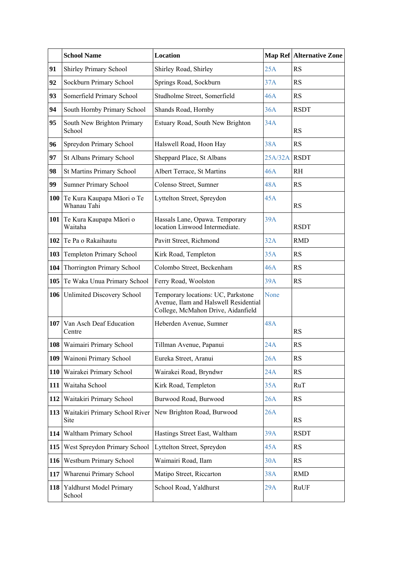|            | <b>School Name</b>                            | <b>Location</b>                                                                                                   |         | <b>Map Ref Alternative Zone</b> |
|------------|-----------------------------------------------|-------------------------------------------------------------------------------------------------------------------|---------|---------------------------------|
| 91         | Shirley Primary School                        | Shirley Road, Shirley                                                                                             | 25A     | <b>RS</b>                       |
| 92         | Sockburn Primary School                       | Springs Road, Sockburn                                                                                            | 37A     | RS                              |
| 93         | Somerfield Primary School                     | Studholme Street, Somerfield                                                                                      | 46A     | RS                              |
| 94         | South Hornby Primary School                   | Shands Road, Hornby                                                                                               | 36A     | <b>RSDT</b>                     |
| 95         | South New Brighton Primary<br>School          | Estuary Road, South New Brighton                                                                                  | 34A     | <b>RS</b>                       |
| 96         | Spreydon Primary School                       | Halswell Road, Hoon Hay                                                                                           | 38A     | RS                              |
| 97         | St Albans Primary School                      | Sheppard Place, St Albans                                                                                         | 25A/32A | <b>RSDT</b>                     |
| 98         | <b>St Martins Primary School</b>              | Albert Terrace, St Martins                                                                                        | 46A     | RH                              |
| 99         | <b>Sumner Primary School</b>                  | Colenso Street, Sumner                                                                                            | 48A     | RS                              |
|            | 100 Te Kura Kaupapa Māori o Te<br>Whanau Tahi | Lyttelton Street, Spreydon                                                                                        | 45A     | <b>RS</b>                       |
|            | 101 Te Kura Kaupapa Māori o<br>Waitaha        | Hassals Lane, Opawa. Temporary<br>location Linwood Intermediate.                                                  | 39A     | <b>RSDT</b>                     |
|            | 102 Te Pa o Rakaihautu                        | Pavitt Street, Richmond                                                                                           | 32A     | <b>RMD</b>                      |
| 103        | Templeton Primary School                      | Kirk Road, Templeton                                                                                              | 35A     | RS                              |
| 104        | Thorrington Primary School                    | Colombo Street, Beckenham                                                                                         | 46A     | RS                              |
|            | 105 Te Waka Unua Primary School               | Ferry Road, Woolston                                                                                              | 39A     | RS                              |
|            | 106 Unlimited Discovery School                | Temporary locations: UC, Parkstone<br>Avenue, Ilam and Halswell Residential<br>College, McMahon Drive, Aidanfield | None    |                                 |
|            | <b>107</b> Van Asch Deaf Education<br>Centre  | Heberden Avenue, Sumner                                                                                           | 48A     | RS                              |
|            | 108   Waimairi Primary School                 | Tillman Avenue, Papanui                                                                                           | 24A     | RS                              |
| 109        | Wainoni Primary School                        | Eureka Street, Aranui                                                                                             | 26A     | RS                              |
| 110        | Wairakei Primary School                       | Wairakei Road, Bryndwr                                                                                            | 24A     | RS                              |
| 111        | Waitaha School                                | Kirk Road, Templeton                                                                                              | 35A     | RuT                             |
| 112        | Waitakiri Primary School                      | Burwood Road, Burwood                                                                                             | 26A     | RS                              |
|            | 113 Waitakiri Primary School River<br>Site    | New Brighton Road, Burwood                                                                                        | 26A     | <b>RS</b>                       |
| 114        | Waltham Primary School                        | Hastings Street East, Waltham                                                                                     | 39A     | <b>RSDT</b>                     |
| 115        | West Spreydon Primary School                  | Lyttelton Street, Spreydon                                                                                        | 45A     | RS                              |
| <b>116</b> | Westburn Primary School                       | Waimairi Road, Ilam                                                                                               | 30A     | RS                              |
| 117        | Wharenui Primary School                       | Matipo Street, Riccarton                                                                                          | 38A     | <b>RMD</b>                      |
|            | 118 Yaldhurst Model Primary<br>School         | School Road, Yaldhurst                                                                                            | 29A     | RuUF                            |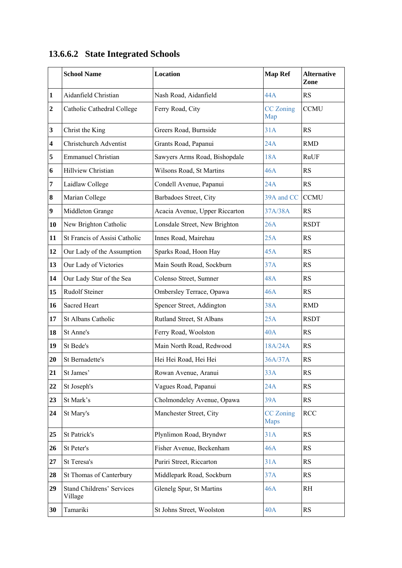|  |  | 13.6.6.2 State Integrated Schools |  |
|--|--|-----------------------------------|--|
|--|--|-----------------------------------|--|

|                         | <b>School Name</b>                          | <b>Location</b>                | <b>Map Ref</b>                  | <b>Alternative</b><br>Zone |
|-------------------------|---------------------------------------------|--------------------------------|---------------------------------|----------------------------|
| $\mathbf{1}$            | Aidanfield Christian                        | Nash Road, Aidanfield          | 44A                             | <b>RS</b>                  |
| $\boldsymbol{2}$        | Catholic Cathedral College                  | Ferry Road, City               | <b>CC</b> Zoning<br>Map         | <b>CCMU</b>                |
| $\mathbf{3}$            | Christ the King                             | Greers Road, Burnside          | 31A                             | RS                         |
| $\overline{\mathbf{4}}$ | <b>Christchurch Adventist</b>               | Grants Road, Papanui           | 24A                             | <b>RMD</b>                 |
| $\sqrt{5}$              | <b>Emmanuel Christian</b>                   | Sawyers Arms Road, Bishopdale  | 18A                             | RuUF                       |
| 6                       | Hillview Christian                          | Wilsons Road, St Martins       | 46A                             | <b>RS</b>                  |
| 7                       | Laidlaw College                             | Condell Avenue, Papanui        | 24A                             | <b>RS</b>                  |
| $\boldsymbol{8}$        | Marian College                              | Barbadoes Street, City         | 39A and CC                      | <b>CCMU</b>                |
| $\boldsymbol{9}$        | Middleton Grange                            | Acacia Avenue, Upper Riccarton | 37A/38A                         | <b>RS</b>                  |
| 10                      | New Brighton Catholic                       | Lonsdale Street, New Brighton  | 26A                             | <b>RSDT</b>                |
| 11                      | St Francis of Assisi Catholic               | Innes Road, Mairehau           | 25A                             | <b>RS</b>                  |
| 12                      | Our Lady of the Assumption                  | Sparks Road, Hoon Hay          | 45A                             | <b>RS</b>                  |
| 13                      | Our Lady of Victories                       | Main South Road, Sockburn      | 37A                             | <b>RS</b>                  |
| 14                      | Our Lady Star of the Sea                    | Colenso Street, Sumner         | 48A                             | RS                         |
| 15                      | <b>Rudolf Steiner</b>                       | Ombersley Terrace, Opawa       | 46A                             | RS                         |
| 16                      | Sacred Heart                                | Spencer Street, Addington      | 38A                             | <b>RMD</b>                 |
| 17                      | St Albans Catholic                          | Rutland Street, St Albans      | 25A                             | <b>RSDT</b>                |
| 18                      | St Anne's                                   | Ferry Road, Woolston           | 40A                             | <b>RS</b>                  |
| 19                      | St Bede's                                   | Main North Road, Redwood       | 18A/24A                         | <b>RS</b>                  |
| 20                      | St Bernadette's                             | Hei Hei Road, Hei Hei          | 36A/37A                         | <b>RS</b>                  |
| 21                      | St James'                                   | Rowan Avenue, Aranui           | 33A                             | RS                         |
| 22                      | St Joseph's                                 | Vagues Road, Papanui           | 24A                             | RS                         |
| 23                      | St Mark's                                   | Cholmondeley Avenue, Opawa     | 39A                             | <b>RS</b>                  |
| 24                      | St Mary's                                   | Manchester Street, City        | <b>CC</b> Zoning<br><b>Maps</b> | <b>RCC</b>                 |
| 25                      | St Patrick's                                | Plynlimon Road, Bryndwr        | 31A                             | RS                         |
| 26                      | St Peter's                                  | Fisher Avenue, Beckenham       | 46A                             | <b>RS</b>                  |
| 27                      | St Teresa's                                 | Puriri Street, Riccarton       | 31A                             | <b>RS</b>                  |
| 28                      | St Thomas of Canterbury                     | Middlepark Road, Sockburn      | 37A                             | RS                         |
| 29                      | <b>Stand Childrens' Services</b><br>Village | Glenelg Spur, St Martins       | 46A                             | <b>RH</b>                  |
| 30                      | Tamariki                                    | St Johns Street, Woolston      | 40A                             | RS                         |